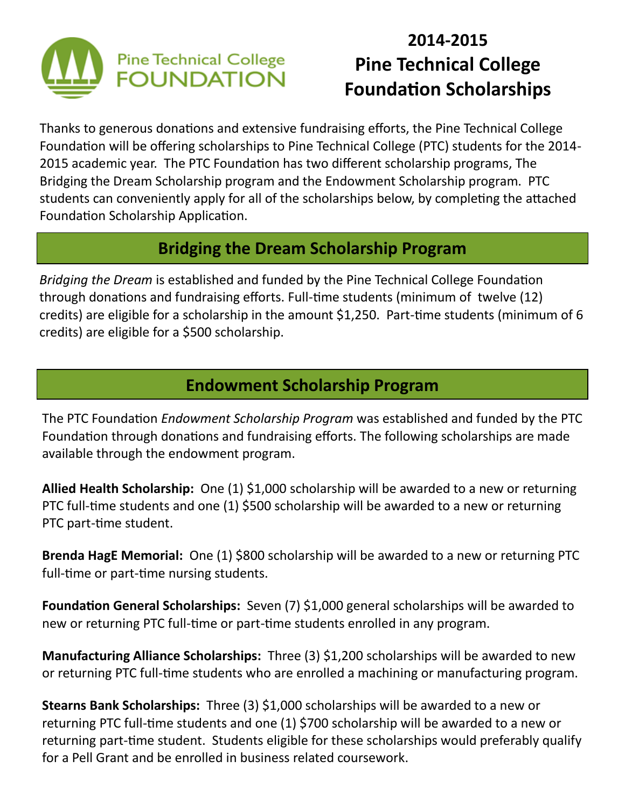

## **2014-2015 Pine Technical College Foundation Scholarships**

Thanks to generous donations and extensive fundraising efforts, the Pine Technical College Foundation will be offering scholarships to Pine Technical College (PTC) students for the 2014- 2015 academic year. The PTC Foundation has two different scholarship programs, The Bridging the Dream Scholarship program and the Endowment Scholarship program. PTC students can conveniently apply for all of the scholarships below, by completing the attached Foundation Scholarship Application.

#### **Bridging the Dream Scholarship Program**

*Bridging the Dream* is established and funded by the Pine Technical College Foundation through donations and fundraising efforts. Full-time students (minimum of twelve (12) credits) are eligible for a scholarship in the amount \$1,250. Part-time students (minimum of 6 credits) are eligible for a \$500 scholarship.

#### **Endowment Scholarship Program**

The PTC Foundation *Endowment Scholarship Program* was established and funded by the PTC Foundation through donations and fundraising efforts. The following scholarships are made available through the endowment program.

**Allied Health Scholarship:** One (1) \$1,000 scholarship will be awarded to a new or returning PTC full-time students and one (1) \$500 scholarship will be awarded to a new or returning PTC part-time student.

**Brenda HagE Memorial:** One (1) \$800 scholarship will be awarded to a new or returning PTC full-time or part-time nursing students.

**Foundation General Scholarships:** Seven (7) \$1,000 general scholarships will be awarded to new or returning PTC full-time or part-time students enrolled in any program.

**Manufacturing Alliance Scholarships:** Three (3) \$1,200 scholarships will be awarded to new or returning PTC full-time students who are enrolled a machining or manufacturing program.

**Stearns Bank Scholarships:** Three (3) \$1,000 scholarships will be awarded to a new or returning PTC full-time students and one (1) \$700 scholarship will be awarded to a new or returning part-time student. Students eligible for these scholarships would preferably qualify for a Pell Grant and be enrolled in business related coursework.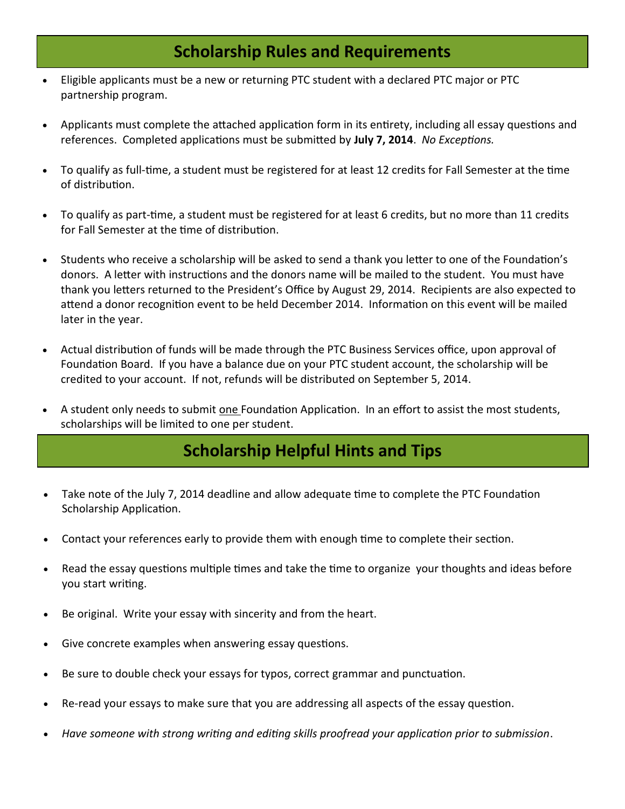#### **Scholarship Rules and Requirements**

- Eligible applicants must be a new or returning PTC student with a declared PTC major or PTC partnership program.
- Applicants must complete the attached application form in its entirety, including all essay questions and references. Completed applications must be submitted by **July 7, 2014**. *No Exceptions.*
- To qualify as full-time, a student must be registered for at least 12 credits for Fall Semester at the time of distribution.
- To qualify as part-time, a student must be registered for at least 6 credits, but no more than 11 credits for Fall Semester at the time of distribution.
- Students who receive a scholarship will be asked to send a thank you letter to one of the Foundation's donors. A letter with instructions and the donors name will be mailed to the student. You must have thank you letters returned to the President's Office by August 29, 2014. Recipients are also expected to attend a donor recognition event to be held December 2014. Information on this event will be mailed later in the year.
- Actual distribution of funds will be made through the PTC Business Services office, upon approval of Foundation Board. If you have a balance due on your PTC student account, the scholarship will be credited to your account. If not, refunds will be distributed on September 5, 2014.
- A student only needs to submit one Foundation Application. In an effort to assist the most students, scholarships will be limited to one per student.

#### **Scholarship Helpful Hints and Tips**

- Take note of the July 7, 2014 deadline and allow adequate time to complete the PTC Foundation Scholarship Application.
- Contact your references early to provide them with enough time to complete their section.
- Read the essay questions multiple times and take the time to organize your thoughts and ideas before you start writing.
- Be original. Write your essay with sincerity and from the heart.
- Give concrete examples when answering essay questions.
- Be sure to double check your essays for typos, correct grammar and punctuation.
- Re-read your essays to make sure that you are addressing all aspects of the essay question.
- *Have someone with strong writing and editing skills proofread your application prior to submission*.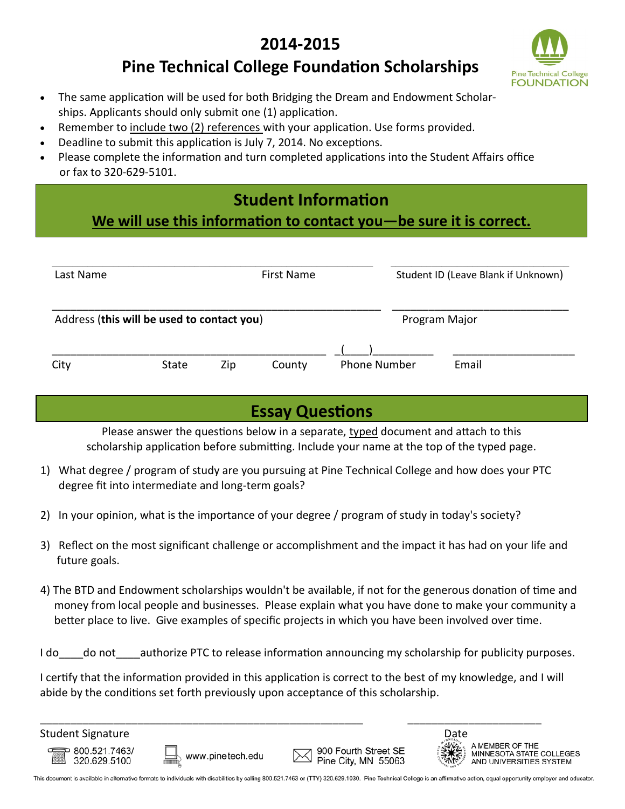### **2014-2015**



#### **Pine Technical College Foundation Scholarships**

- The same application will be used for both Bridging the Dream and Endowment Scholarships. Applicants should only submit one (1) application.
- Remember to include two (2) references with your application. Use forms provided.
- Deadline to submit this application is July 7, 2014. No exceptions.
- Please complete the information and turn completed applications into the Student Affairs office or fax to 320-629-5101.

### **Student Information**

**We will use this information to contact you—be sure it is correct.**

| Last Name<br>First Name                    |       |     |        |                     | Student ID (Leave Blank if Unknown) |       |
|--------------------------------------------|-------|-----|--------|---------------------|-------------------------------------|-------|
| Address (this will be used to contact you) |       |     |        |                     | Program Major                       |       |
| City                                       | State | Zip | County | <b>Phone Number</b> |                                     | Email |

### **Essay Questions**

Please answer the questions below in a separate, typed document and attach to this scholarship application before submitting. Include your name at the top of the typed page.

- 1) What degree / program of study are you pursuing at Pine Technical College and how does your PTC degree fit into intermediate and long-term goals?
- 2) In your opinion, what is the importance of your degree / program of study in today's society?
- 3) Reflect on the most significant challenge or accomplishment and the impact it has had on your life and future goals.
- 4) The BTD and Endowment scholarships wouldn't be available, if not for the generous donation of time and money from local people and businesses. Please explain what you have done to make your community a better place to live. Give examples of specific projects in which you have been involved over time.

I do do not authorize PTC to release information announcing my scholarship for publicity purposes.

I certify that the information provided in this application is correct to the best of my knowledge, and I will abide by the conditions set forth previously upon acceptance of this scholarship.



This document is available in alternative formats to individuals with disabilities by calling 800.521.7463 or (TTY) 320.629.1030. Pine Technical College is an affirmative action, equal opportunity employer and educator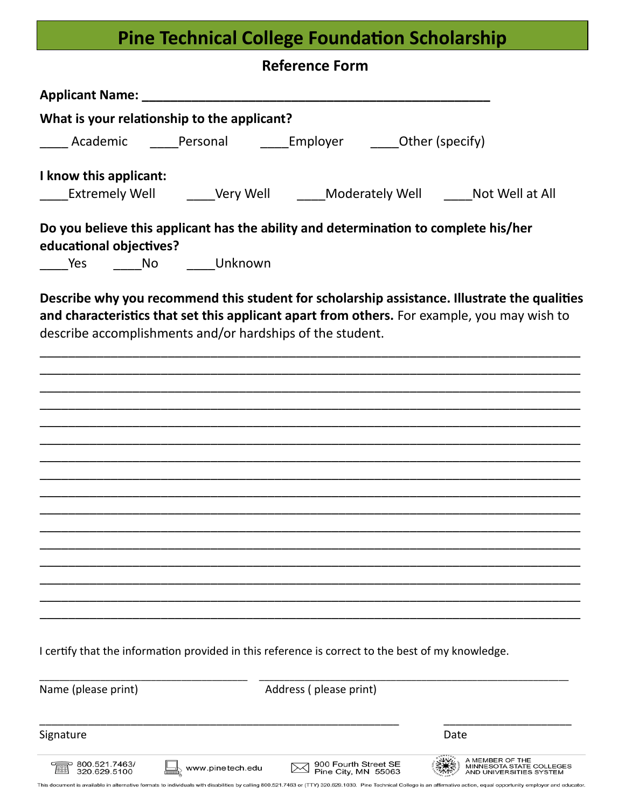# **Pine Technical College Foundation Scholarship**

| <b>Reference Form</b>                                     |                  |                                                                                                   |                                                                                             |  |  |  |  |
|-----------------------------------------------------------|------------------|---------------------------------------------------------------------------------------------------|---------------------------------------------------------------------------------------------|--|--|--|--|
|                                                           |                  |                                                                                                   |                                                                                             |  |  |  |  |
| What is your relationship to the applicant?               |                  |                                                                                                   |                                                                                             |  |  |  |  |
|                                                           |                  | _____ Academic ______Personal ________Employer _______Other (specify)                             |                                                                                             |  |  |  |  |
| I know this applicant:                                    |                  |                                                                                                   |                                                                                             |  |  |  |  |
|                                                           |                  |                                                                                                   | _____Extremely Well _______Very Well _______Moderately Well ______Not Well at All           |  |  |  |  |
| educational objectives?                                   |                  | Do you believe this applicant has the ability and determination to complete his/her               |                                                                                             |  |  |  |  |
| Yes _______No _______Unknown                              |                  |                                                                                                   |                                                                                             |  |  |  |  |
| describe accomplishments and/or hardships of the student. |                  |                                                                                                   | and characteristics that set this applicant apart from others. For example, you may wish to |  |  |  |  |
|                                                           |                  |                                                                                                   |                                                                                             |  |  |  |  |
|                                                           |                  |                                                                                                   |                                                                                             |  |  |  |  |
|                                                           |                  |                                                                                                   |                                                                                             |  |  |  |  |
|                                                           |                  |                                                                                                   |                                                                                             |  |  |  |  |
|                                                           |                  |                                                                                                   |                                                                                             |  |  |  |  |
|                                                           |                  | I certify that the information provided in this reference is correct to the best of my knowledge. |                                                                                             |  |  |  |  |
| Name (please print)                                       |                  | Address (please print)                                                                            |                                                                                             |  |  |  |  |
| Signature                                                 |                  |                                                                                                   | Date                                                                                        |  |  |  |  |
| 800.521.7463/<br>320.629.5100                             | www.pinetech.edu | 900 Fourth Street SE<br>Pine City, MN 55063                                                       | A MEMBER OF THE<br>MINNESOTA STATE COLLEGES<br>AND UNIVERSITIES SYSTEM                      |  |  |  |  |